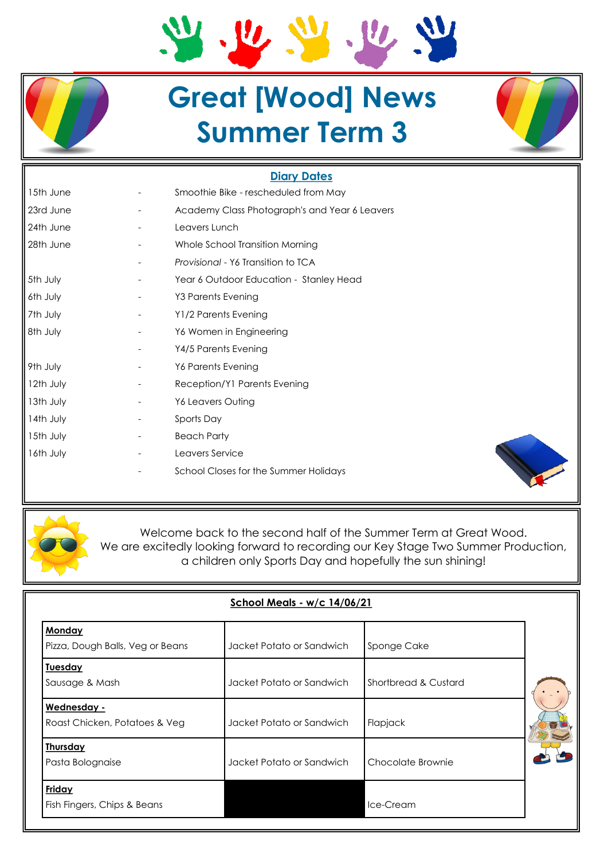# $\frac{1}{2}$  $\mathbf{v}$

# **Great [Wood] News Summer Term 3**

### **Diary Dates**

| 15th June | Smoothie Bike - rescheduled from May          |  |  |
|-----------|-----------------------------------------------|--|--|
| 23rd June | Academy Class Photograph's and Year 6 Leavers |  |  |
| 24th June | Leavers Lunch                                 |  |  |
| 28th June | Whole School Transition Morning               |  |  |
|           | Provisional - Y6 Transition to TCA            |  |  |
| 5th July  | Year 6 Outdoor Education - Stanley Head       |  |  |
| 6th July  | Y3 Parents Evening                            |  |  |
| 7th July  | Y1/2 Parents Evening                          |  |  |
| 8th July  | Y6 Women in Engineering                       |  |  |
|           | Y4/5 Parents Evening                          |  |  |
| 9th July  | Y6 Parents Evening                            |  |  |
| 12th July | Reception/Y1 Parents Evening                  |  |  |
| 13th July | Y6 Leavers Outing                             |  |  |
| 14th July | Sports Day                                    |  |  |
| 15th July | <b>Beach Party</b>                            |  |  |
| 16th July | Leavers Service                               |  |  |
|           | School Closes for the Summer Holidays         |  |  |





Welcome back to the second half of the Summer Term at Great Wood. We are excitedly looking forward to recording our Key Stage Two Summer Production, a children only Sports Day and hopefully the sun shining!

| <b>School Meals - w/c 14/06/21</b>                |                           |                      |  |  |  |  |
|---------------------------------------------------|---------------------------|----------------------|--|--|--|--|
| <b>Monday</b><br>Pizza, Dough Balls, Veg or Beans | Jacket Potato or Sandwich | Sponge Cake          |  |  |  |  |
| <b>Tuesday</b>                                    |                           |                      |  |  |  |  |
| Sausage & Mash                                    | Jacket Potato or Sandwich | Shortbread & Custard |  |  |  |  |
| Wednesday -<br>Roast Chicken, Potatoes & Veg      | Jacket Potato or Sandwich | Flapjack             |  |  |  |  |
| <b>Thursday</b><br>Pasta Bolognaise               | Jacket Potato or Sandwich | Chocolate Brownie    |  |  |  |  |
| Friday<br>Fish Fingers, Chips & Beans             |                           | Ice-Cream            |  |  |  |  |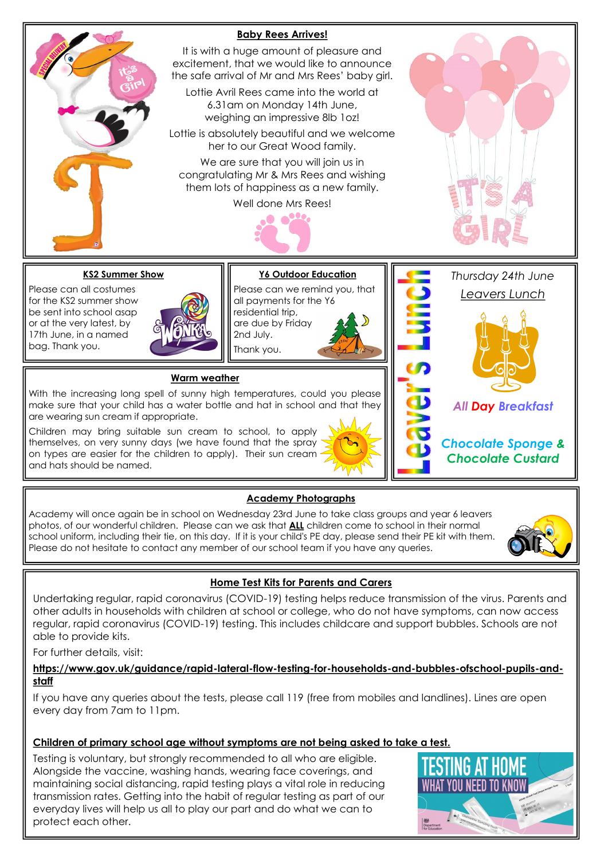

#### **Academy Photographs**

Academy will once again be in school on Wednesday 23rd June to take class groups and year 6 leavers photos, of our wonderful children. Please can we ask that **ALL** children come to school in their normal school uniform, including their tie, on this day. If it is your child's PE day, please send their PE kit with them. Please do not hesitate to contact any member of our school team if you have any queries.



#### **Home Test Kits for Parents and Carers**

Undertaking regular, rapid coronavirus (COVID-19) testing helps reduce transmission of the virus. Parents and other adults in households with children at school or college, who do not have symptoms, can now access regular, rapid coronavirus (COVID-19) testing. This includes childcare and support bubbles. Schools are not able to provide kits.

For further details, visit:

**https://www.gov.uk/guidance/rapid-lateral-flow-testing-for-households-and-bubbles-ofschool-pupils-andstaff** 

If you have any queries about the tests, please call 119 (free from mobiles and landlines). Lines are open every day from 7am to 11pm.

#### **Children of primary school age without symptoms are not being asked to take a test.**

Testing is voluntary, but strongly recommended to all who are eligible. Alongside the vaccine, washing hands, wearing face coverings, and maintaining social distancing, rapid testing plays a vital role in reducing transmission rates. Getting into the habit of regular testing as part of our everyday lives will help us all to play our part and do what we can to protect each other.